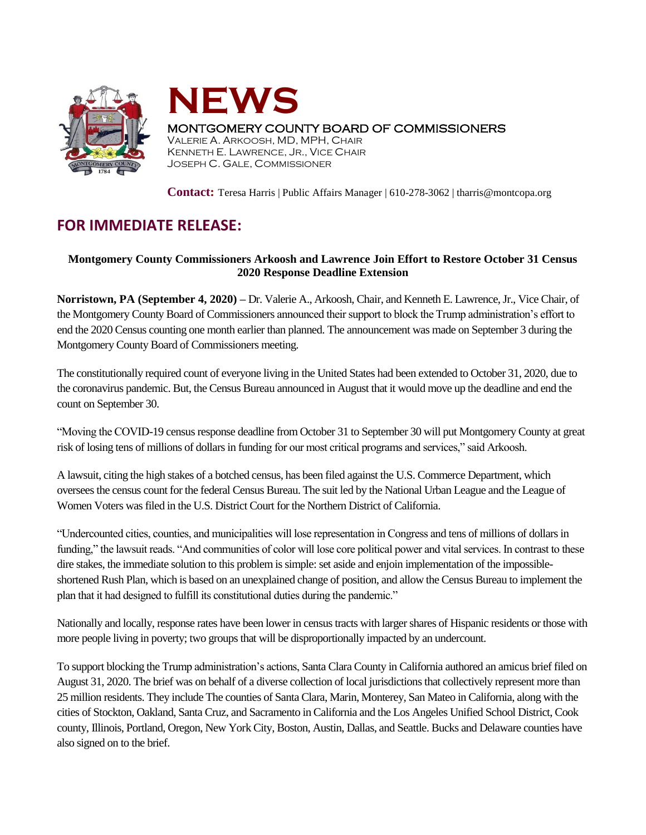



## MONTGOMERY COUNTY BOARD OF COMMISSIONERS

VALERIE A. ARKOOSH, MD, MPH, CHAIR KENNETH E. LAWRENCE, JR., VICE CHAIR JOSEPH C. GALE, COMMISSIONER

**Contact:** Teresa Harris | Public Affairs Manager | 610-278-3062 | tharris@montcopa.org

## **FOR IMMEDIATE RELEASE:**

## **Montgomery County Commissioners Arkoosh and Lawrence Join Effort to Restore October 31 Census 2020 Response Deadline Extension**

**Norristown, PA (September 4, 2020) –** Dr. Valerie A., Arkoosh, Chair, and Kenneth E. Lawrence, Jr., Vice Chair, of the Montgomery County Board of Commissioners announced their support to block the Trump administration's effort to end the 2020 Census counting one month earlier than planned. The announcement was made on September 3 during the Montgomery County Board of Commissioners meeting.

The constitutionally required count of everyone living in the United States had been extended to October 31, 2020, due to the coronavirus pandemic. But, the Census Bureau announced in August that it would move up the deadline and end the count on September 30.

"Moving the COVID-19 census response deadline from October 31 to September 30 will put Montgomery County at great risk of losing tens of millions of dollars in funding for our most critical programs and services," said Arkoosh.

A lawsuit, citing the high stakes of a botched census, has been filed against the U.S. Commerce Department, which oversees the census count for the federal Census Bureau. The suit led by the National Urban League and the League of Women Voters was filed in the U.S. District Court for the Northern District of California.

"Undercounted cities, counties, and municipalities will lose representation in Congress and tens of millions of dollars in funding," the lawsuit reads. "And communities of color will lose core political power and vital services. In contrast to these dire stakes, the immediate solution to this problem is simple: set aside and enjoin implementation of the impossibleshortened Rush Plan, which is based on an unexplained change of position, and allow the Census Bureau to implement the plan that it had designed to fulfill its constitutional duties during the pandemic."

Nationally and locally, response rates have been lower in census tracts with larger shares of Hispanic residents or those with more people living in poverty; two groups that will be disproportionally impacted by an undercount.

To support blocking the Trump administration's actions, Santa Clara County in California authored an amicus brief filed on August 31, 2020. The brief was on behalf of a diverse collection of local jurisdictionsthat collectively represent more than 25 million residents. They include The counties of Santa Clara, Marin, Monterey, San Mateo in California, along with the cities of Stockton, Oakland, Santa Cruz, and Sacramento in California and the Los Angeles Unified School District, Cook county, Illinois, Portland, Oregon, New York City, Boston, Austin, Dallas, and Seattle. Bucks and Delaware counties have also signed on to the brief.